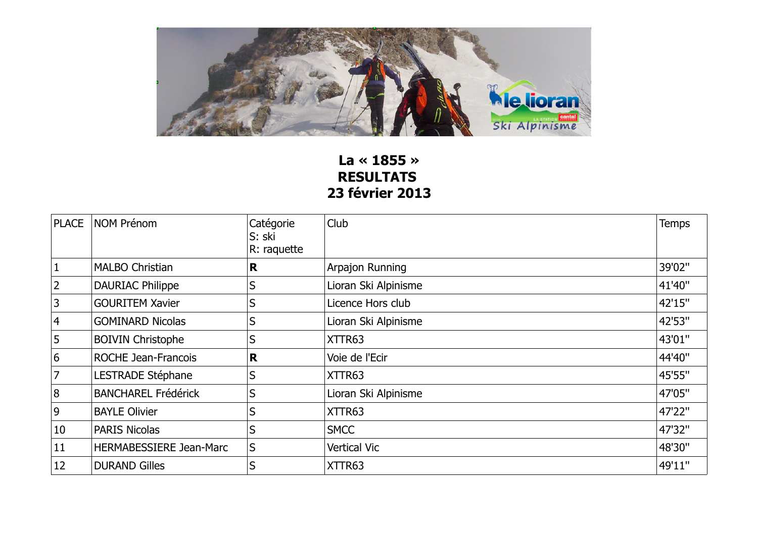

## **La « 1855 » RESULTATS 23 février 2013**

| <b>PLACE</b>   | <b>NOM Prénom</b>              | Catégorie<br>S: ski<br>R: raquette | Club                 | <b>Temps</b> |
|----------------|--------------------------------|------------------------------------|----------------------|--------------|
| $\vert$ 1      | <b>MALBO Christian</b>         | R                                  | Arpajon Running      | 39'02"       |
| $ 2\rangle$    | <b>DAURIAC Philippe</b>        | S                                  | Lioran Ski Alpinisme | 41'40"       |
| 3              | <b>GOURITEM Xavier</b>         | S                                  | Licence Hors club    | 42'15"       |
| $\vert$ 4      | <b>GOMINARD Nicolas</b>        | S                                  | Lioran Ski Alpinisme | 42'53"       |
| 5              | <b>BOIVIN Christophe</b>       | S                                  | XTTR63               | 43'01"       |
| $6\,$          | <b>ROCHE Jean-Francois</b>     | R                                  | Voie de l'Ecir       | 44'40"       |
| $\overline{7}$ | LESTRADE Stéphane              | S                                  | XTTR63               | 45'55"       |
| 8              | <b>BANCHAREL Frédérick</b>     | S                                  | Lioran Ski Alpinisme | 47'05"       |
| $\overline{9}$ | <b>BAYLE Olivier</b>           | S                                  | XTTR63               | 47'22"       |
| 10             | <b>PARIS Nicolas</b>           | S                                  | <b>SMCC</b>          | 47'32"       |
| 11             | <b>HERMABESSIERE Jean-Marc</b> | S                                  | Vertical Vic         | 48'30"       |
| 12             | <b>DURAND Gilles</b>           | S                                  | XTTR63               | 49'11"       |